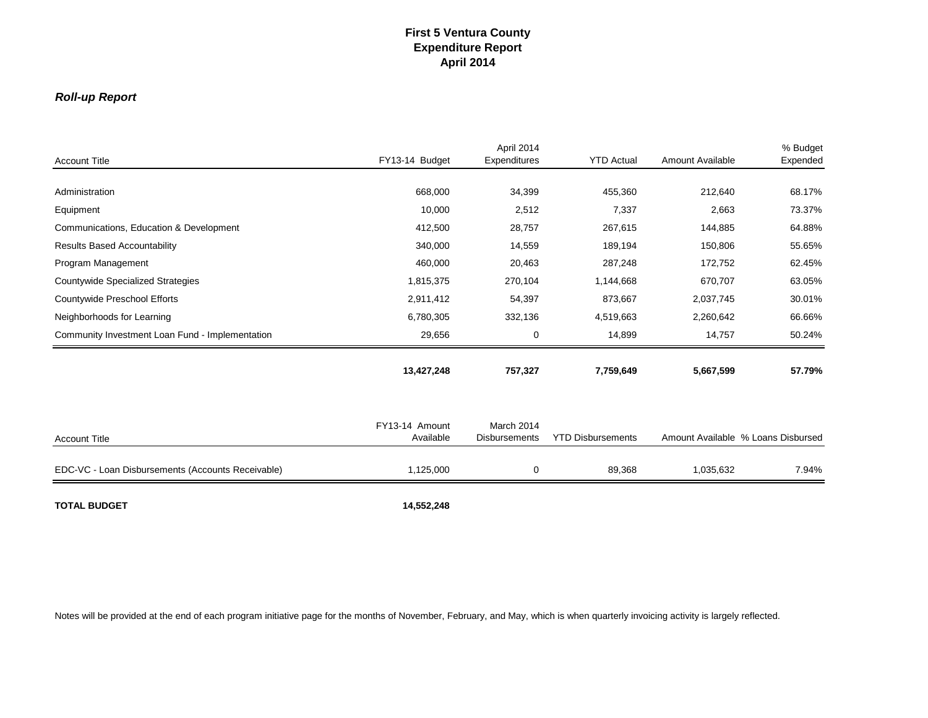## *Roll-up Report*

| <b>Account Title</b>                              | FY13-14 Budget              | April 2014<br>Expenditures         | <b>YTD Actual</b>        | <b>Amount Available</b> | % Budget<br>Expended               |
|---------------------------------------------------|-----------------------------|------------------------------------|--------------------------|-------------------------|------------------------------------|
|                                                   |                             |                                    |                          |                         |                                    |
| Administration                                    | 668,000                     | 34,399                             | 455,360                  | 212,640                 | 68.17%                             |
| Equipment                                         | 10,000                      | 2,512                              | 7,337                    | 2,663                   | 73.37%                             |
| Communications, Education & Development           | 412,500                     | 28,757                             | 267,615                  | 144,885                 | 64.88%                             |
| <b>Results Based Accountability</b>               | 340,000                     | 14,559                             | 189,194                  | 150,806                 | 55.65%                             |
| Program Management                                | 460,000                     | 20,463                             | 287,248                  | 172,752                 | 62.45%                             |
| <b>Countywide Specialized Strategies</b>          | 1,815,375                   | 270,104                            | 1,144,668                | 670,707                 | 63.05%                             |
| Countywide Preschool Efforts                      | 2,911,412                   | 54,397                             | 873,667                  | 2,037,745               | 30.01%                             |
| Neighborhoods for Learning                        | 6,780,305                   | 332,136                            | 4,519,663                | 2,260,642               | 66.66%                             |
| Community Investment Loan Fund - Implementation   | 29,656                      | 0                                  | 14,899                   | 14,757                  | 50.24%                             |
|                                                   | 13,427,248                  | 757,327                            | 7,759,649                | 5,667,599               | 57.79%                             |
| <b>Account Title</b>                              | FY13-14 Amount<br>Available | March 2014<br><b>Disbursements</b> | <b>YTD Disbursements</b> |                         | Amount Available % Loans Disbursed |
|                                                   |                             |                                    |                          |                         |                                    |
| EDC-VC - Loan Disbursements (Accounts Receivable) | 1,125,000                   | 0                                  | 89,368                   | 1,035,632               | 7.94%                              |
| <b>TOTAL BUDGET</b>                               | 14,552,248                  |                                    |                          |                         |                                    |

Notes will be provided at the end of each program initiative page for the months of November, February, and May, which is when quarterly invoicing activity is largely reflected.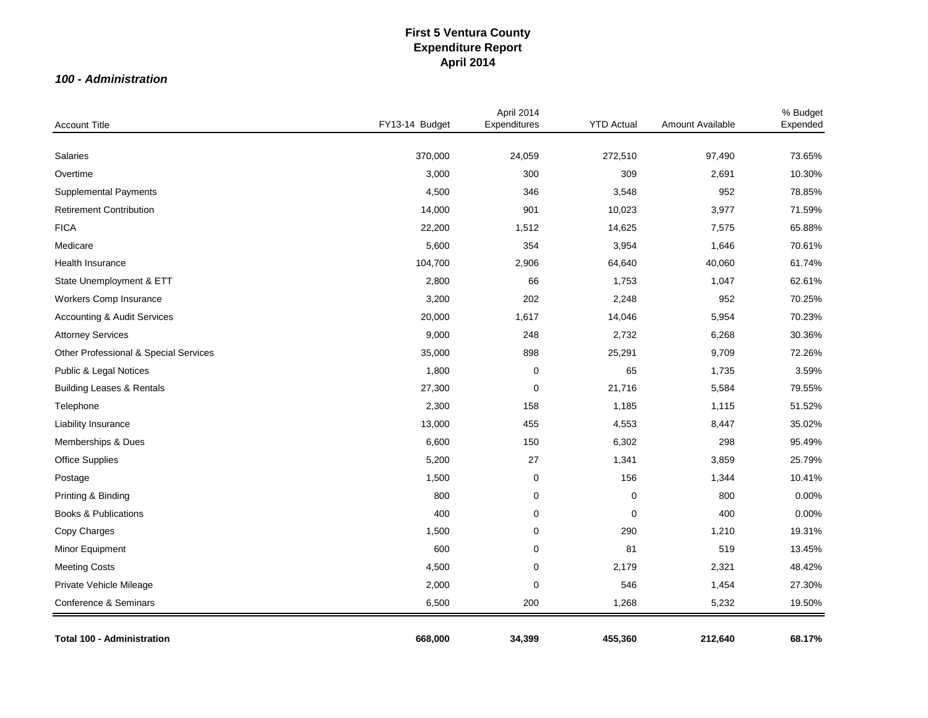### *100 - Administration*

| <b>Account Title</b>                   | FY13-14 Budget | April 2014<br>Expenditures | <b>YTD Actual</b> | Amount Available | % Budget<br>Expended |
|----------------------------------------|----------------|----------------------------|-------------------|------------------|----------------------|
|                                        |                |                            |                   |                  |                      |
| Salaries                               | 370,000        | 24,059                     | 272,510           | 97,490           | 73.65%               |
| Overtime                               | 3,000          | 300                        | 309               | 2,691            | 10.30%               |
| <b>Supplemental Payments</b>           | 4,500          | 346                        | 3,548             | 952              | 78.85%               |
| <b>Retirement Contribution</b>         | 14,000         | 901                        | 10,023            | 3,977            | 71.59%               |
| <b>FICA</b>                            | 22,200         | 1,512                      | 14,625            | 7,575            | 65.88%               |
| Medicare                               | 5,600          | 354                        | 3,954             | 1,646            | 70.61%               |
| Health Insurance                       | 104,700        | 2,906                      | 64,640            | 40,060           | 61.74%               |
| State Unemployment & ETT               | 2,800          | 66                         | 1,753             | 1,047            | 62.61%               |
| Workers Comp Insurance                 | 3,200          | 202                        | 2,248             | 952              | 70.25%               |
| <b>Accounting &amp; Audit Services</b> | 20,000         | 1,617                      | 14,046            | 5,954            | 70.23%               |
| <b>Attorney Services</b>               | 9,000          | 248                        | 2,732             | 6,268            | 30.36%               |
| Other Professional & Special Services  | 35,000         | 898                        | 25,291            | 9,709            | 72.26%               |
| Public & Legal Notices                 | 1,800          | $\mathbf 0$                | 65                | 1,735            | 3.59%                |
| <b>Building Leases &amp; Rentals</b>   | 27,300         | $\mathbf 0$                | 21,716            | 5,584            | 79.55%               |
| Telephone                              | 2,300          | 158                        | 1,185             | 1,115            | 51.52%               |
| Liability Insurance                    | 13,000         | 455                        | 4,553             | 8,447            | 35.02%               |
| Memberships & Dues                     | 6,600          | 150                        | 6,302             | 298              | 95.49%               |
| <b>Office Supplies</b>                 | 5,200          | 27                         | 1,341             | 3,859            | 25.79%               |
| Postage                                | 1,500          | 0                          | 156               | 1,344            | 10.41%               |
| Printing & Binding                     | 800            | 0                          | $\mathbf 0$       | 800              | 0.00%                |
| <b>Books &amp; Publications</b>        | 400            | $\mathbf 0$                | 0                 | 400              | 0.00%                |
| Copy Charges                           | 1,500          | $\mathbf 0$                | 290               | 1,210            | 19.31%               |
| Minor Equipment                        | 600            | $\mathbf 0$                | 81                | 519              | 13.45%               |
| <b>Meeting Costs</b>                   | 4,500          | 0                          | 2,179             | 2,321            | 48.42%               |
| Private Vehicle Mileage                | 2,000          | $\mathbf 0$                | 546               | 1,454            | 27.30%               |
| Conference & Seminars                  | 6,500          | 200                        | 1,268             | 5,232            | 19.50%               |
| <b>Total 100 - Administration</b>      | 668,000        | 34,399                     | 455,360           | 212,640          | 68.17%               |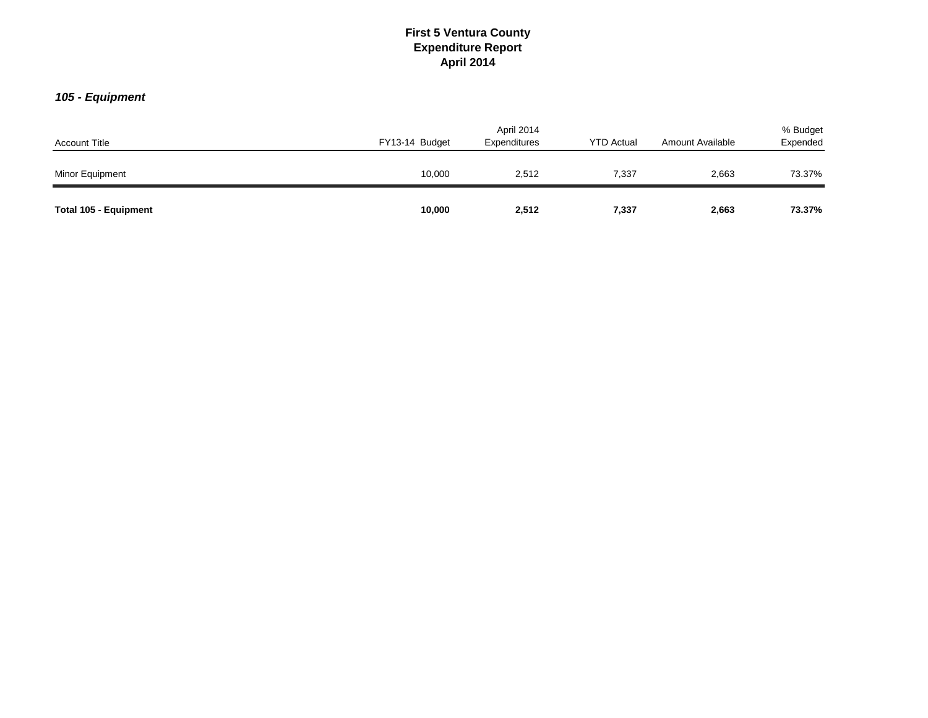# *105 - Equipment*

| <b>Account Title</b>  | FY13-14 Budget | April 2014<br>Expenditures | <b>YTD Actual</b> | Amount Available | % Budget<br>Expended |
|-----------------------|----------------|----------------------------|-------------------|------------------|----------------------|
| Minor Equipment       | 10,000         | 2,512                      | 7,337             | 2,663            | 73.37%               |
| Total 105 - Equipment | 10,000         | 2,512                      | 7,337             | 2,663            | 73.37%               |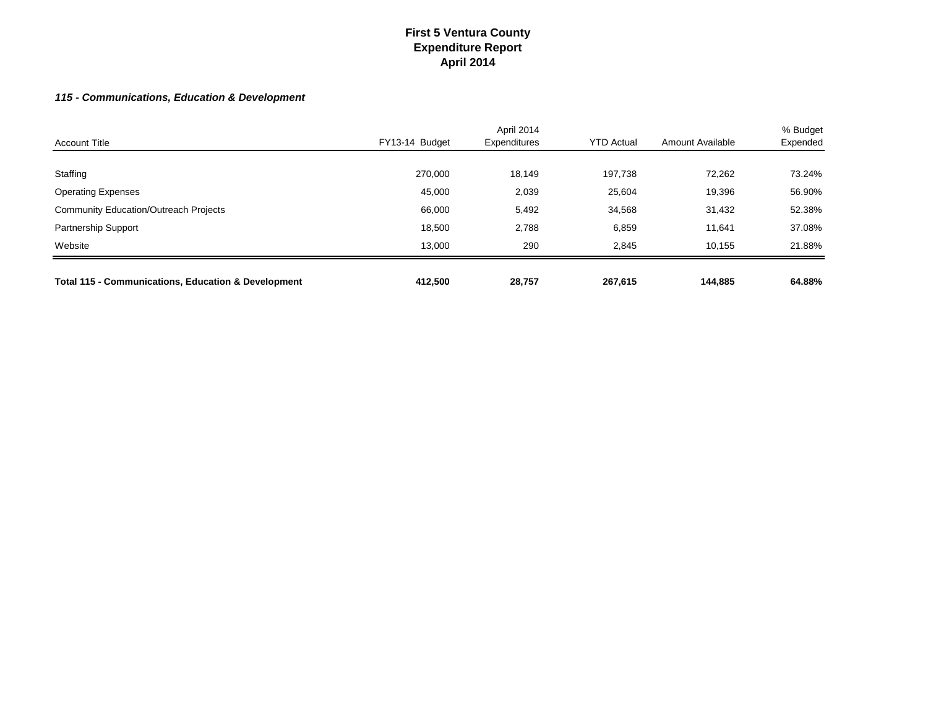### *115 - Communications, Education & Development*

| <b>Account Title</b>                                           | FY13-14 Budget | April 2014<br>Expenditures | <b>YTD Actual</b> | Amount Available | % Budget<br>Expended |
|----------------------------------------------------------------|----------------|----------------------------|-------------------|------------------|----------------------|
|                                                                |                |                            |                   |                  |                      |
| Staffing                                                       | 270,000        | 18,149                     | 197,738           | 72,262           | 73.24%               |
| <b>Operating Expenses</b>                                      | 45,000         | 2,039                      | 25,604            | 19,396           | 56.90%               |
| <b>Community Education/Outreach Projects</b>                   | 66,000         | 5,492                      | 34,568            | 31,432           | 52.38%               |
| <b>Partnership Support</b>                                     | 18,500         | 2,788                      | 6,859             | 11,641           | 37.08%               |
| Website                                                        | 13.000         | 290                        | 2,845             | 10.155           | 21.88%               |
| <b>Total 115 - Communications, Education &amp; Development</b> | 412.500        | 28,757                     | 267,615           | 144.885          | 64.88%               |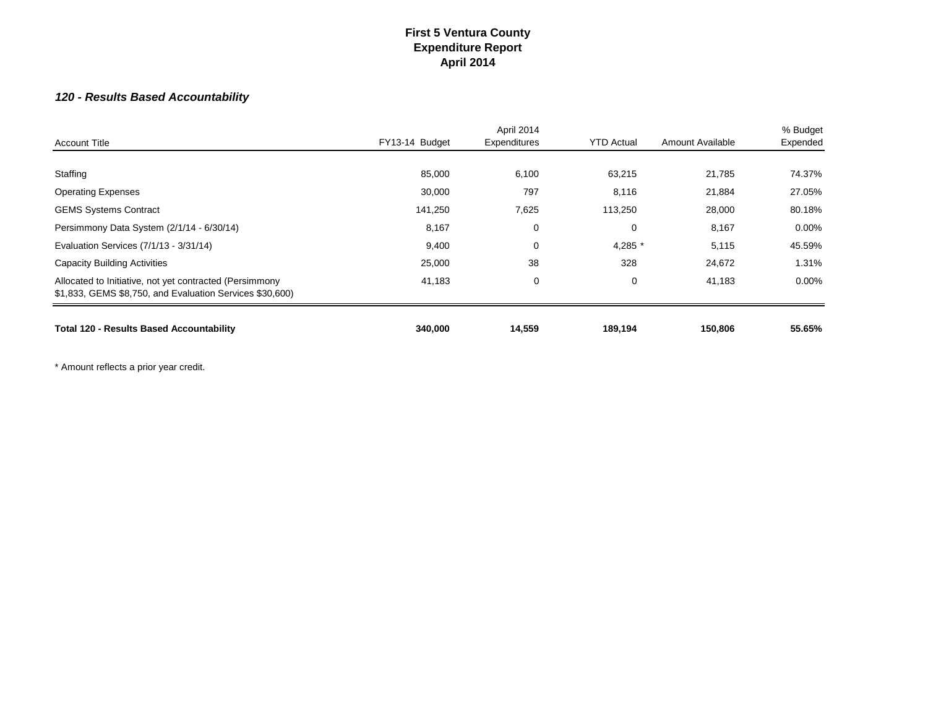# *120 - Results Based Accountability*

| <b>Account Title</b>                                                                                                | FY13-14 Budget | April 2014<br>Expenditures | <b>YTD Actual</b> | Amount Available | % Budget<br>Expended |
|---------------------------------------------------------------------------------------------------------------------|----------------|----------------------------|-------------------|------------------|----------------------|
| Staffing                                                                                                            | 85,000         | 6,100                      | 63,215            | 21,785           | 74.37%               |
| <b>Operating Expenses</b>                                                                                           | 30,000         | 797                        | 8,116             | 21,884           | 27.05%               |
| <b>GEMS Systems Contract</b>                                                                                        | 141,250        | 7,625                      | 113,250           | 28,000           | 80.18%               |
| Persimmony Data System (2/1/14 - 6/30/14)                                                                           | 8,167          | 0                          | 0                 | 8,167            | $0.00\%$             |
| Evaluation Services (7/1/13 - 3/31/14)                                                                              | 9,400          | 0                          | 4,285 *           | 5,115            | 45.59%               |
| <b>Capacity Building Activities</b>                                                                                 | 25,000         | 38                         | 328               | 24,672           | 1.31%                |
| Allocated to Initiative, not yet contracted (Persimmony<br>\$1,833, GEMS \$8,750, and Evaluation Services \$30,600) | 41,183         | 0                          | 0                 | 41,183           | $0.00\%$             |
| <b>Total 120 - Results Based Accountability</b>                                                                     | 340,000        | 14,559                     | 189,194           | 150,806          | 55.65%               |

\* Amount reflects a prior year credit.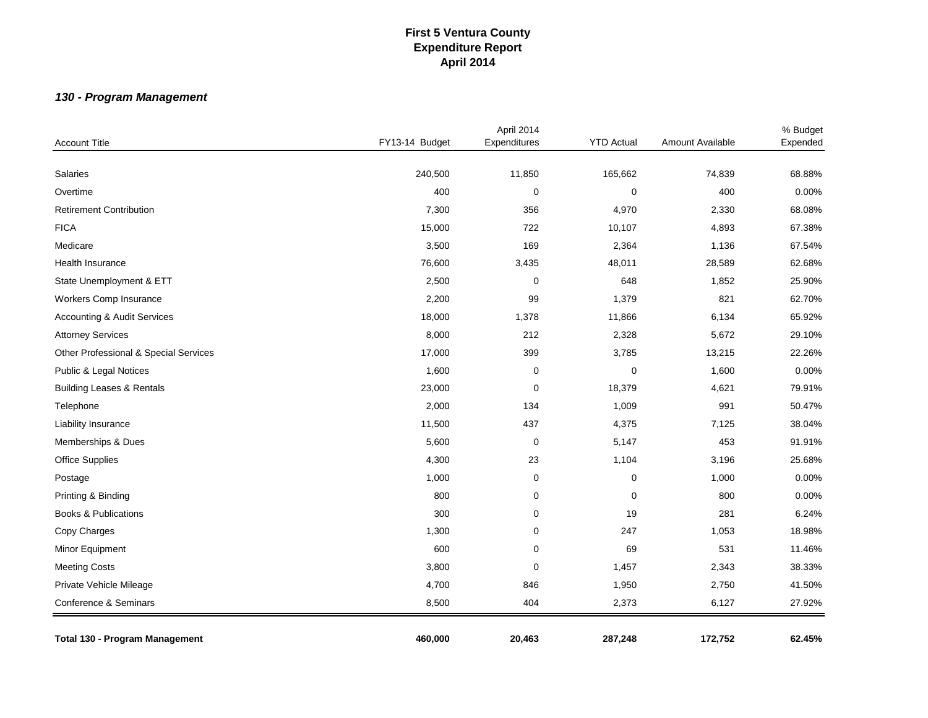# *130 - Program Management*

| <b>Account Title</b>                   | FY13-14 Budget | April 2014<br>Expenditures | <b>YTD Actual</b> | Amount Available | % Budget<br>Expended |
|----------------------------------------|----------------|----------------------------|-------------------|------------------|----------------------|
|                                        |                |                            |                   |                  |                      |
| Salaries                               | 240,500        | 11,850                     | 165,662           | 74,839           | 68.88%               |
| Overtime                               | 400            | $\pmb{0}$                  | $\pmb{0}$         | 400              | 0.00%                |
| <b>Retirement Contribution</b>         | 7,300          | 356                        | 4,970             | 2,330            | 68.08%               |
| <b>FICA</b>                            | 15,000         | 722                        | 10,107            | 4,893            | 67.38%               |
| Medicare                               | 3,500          | 169                        | 2,364             | 1,136            | 67.54%               |
| <b>Health Insurance</b>                | 76,600         | 3,435                      | 48,011            | 28,589           | 62.68%               |
| State Unemployment & ETT               | 2,500          | $\mathbf 0$                | 648               | 1,852            | 25.90%               |
| Workers Comp Insurance                 | 2,200          | 99                         | 1,379             | 821              | 62.70%               |
| <b>Accounting &amp; Audit Services</b> | 18,000         | 1,378                      | 11,866            | 6,134            | 65.92%               |
| <b>Attorney Services</b>               | 8,000          | 212                        | 2,328             | 5,672            | 29.10%               |
| Other Professional & Special Services  | 17,000         | 399                        | 3,785             | 13,215           | 22.26%               |
| Public & Legal Notices                 | 1,600          | $\mathbf 0$                | 0                 | 1,600            | 0.00%                |
| <b>Building Leases &amp; Rentals</b>   | 23,000         | $\mathbf 0$                | 18,379            | 4,621            | 79.91%               |
| Telephone                              | 2,000          | 134                        | 1,009             | 991              | 50.47%               |
| Liability Insurance                    | 11,500         | 437                        | 4,375             | 7,125            | 38.04%               |
| Memberships & Dues                     | 5,600          | $\mathbf 0$                | 5,147             | 453              | 91.91%               |
| <b>Office Supplies</b>                 | 4,300          | 23                         | 1,104             | 3,196            | 25.68%               |
| Postage                                | 1,000          | $\mathbf 0$                | $\pmb{0}$         | 1,000            | 0.00%                |
| Printing & Binding                     | 800            | $\mathbf 0$                | $\pmb{0}$         | 800              | 0.00%                |
| <b>Books &amp; Publications</b>        | 300            | $\pmb{0}$                  | 19                | 281              | 6.24%                |
| Copy Charges                           | 1,300          | 0                          | 247               | 1,053            | 18.98%               |
| Minor Equipment                        | 600            | 0                          | 69                | 531              | 11.46%               |
| <b>Meeting Costs</b>                   | 3,800          | $\Omega$                   | 1,457             | 2,343            | 38.33%               |
| Private Vehicle Mileage                | 4,700          | 846                        | 1,950             | 2,750            | 41.50%               |
| Conference & Seminars                  | 8,500          | 404                        | 2,373             | 6,127            | 27.92%               |
| Total 130 - Program Management         | 460,000        | 20,463                     | 287,248           | 172,752          | 62.45%               |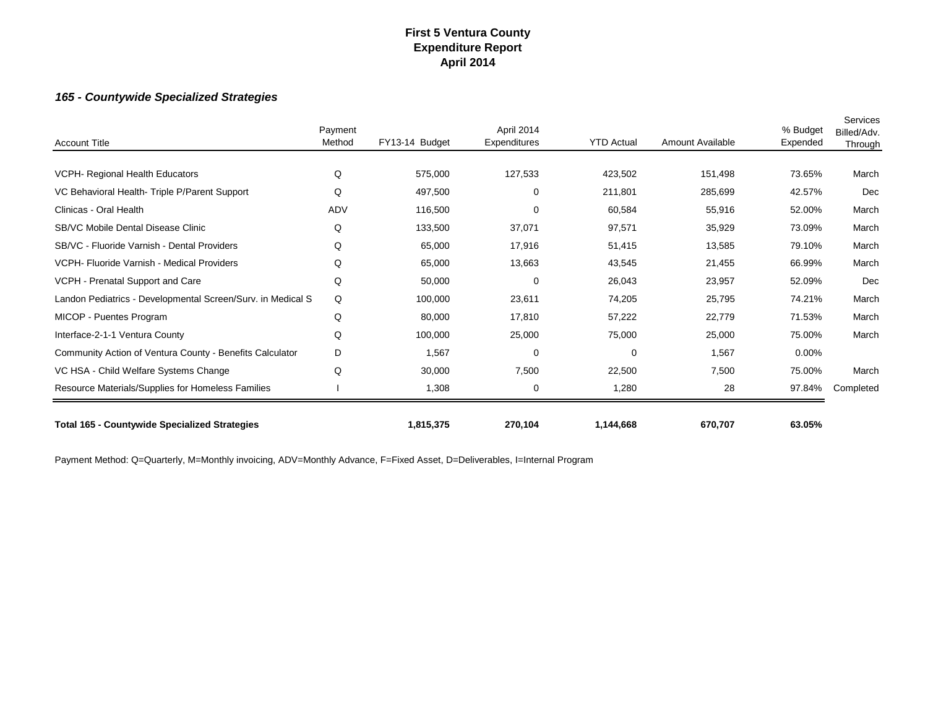## *165 - Countywide Specialized Strategies*

| <b>Account Title</b>                                        | Payment<br>Method | FY13-14 Budget | April 2014<br>Expenditures | <b>YTD Actual</b> | Amount Available | % Budget<br>Expended | Services<br>Billed/Adv.<br>Through |
|-------------------------------------------------------------|-------------------|----------------|----------------------------|-------------------|------------------|----------------------|------------------------------------|
|                                                             |                   |                |                            |                   |                  |                      |                                    |
| VCPH- Regional Health Educators                             | Q                 | 575,000        | 127,533                    | 423,502           | 151,498          | 73.65%               | March                              |
| VC Behavioral Health-Triple P/Parent Support                | Q                 | 497,500        | 0                          | 211,801           | 285,699          | 42.57%               | Dec                                |
| Clinicas - Oral Health                                      | ADV               | 116,500        | $\Omega$                   | 60,584            | 55,916           | 52.00%               | March                              |
| SB/VC Mobile Dental Disease Clinic                          | Q                 | 133,500        | 37,071                     | 97,571            | 35,929           | 73.09%               | March                              |
| SB/VC - Fluoride Varnish - Dental Providers                 | Q                 | 65,000         | 17,916                     | 51,415            | 13,585           | 79.10%               | March                              |
| VCPH- Fluoride Varnish - Medical Providers                  | Q                 | 65,000         | 13,663                     | 43,545            | 21,455           | 66.99%               | March                              |
| VCPH - Prenatal Support and Care                            | Q                 | 50,000         | $\mathbf 0$                | 26,043            | 23,957           | 52.09%               | Dec                                |
| Landon Pediatrics - Developmental Screen/Surv. in Medical S | Q                 | 100,000        | 23,611                     | 74,205            | 25,795           | 74.21%               | March                              |
| MICOP - Puentes Program                                     | Q                 | 80,000         | 17,810                     | 57,222            | 22,779           | 71.53%               | March                              |
| Interface-2-1-1 Ventura County                              | Q                 | 100,000        | 25,000                     | 75,000            | 25,000           | 75.00%               | March                              |
| Community Action of Ventura County - Benefits Calculator    | D                 | 1,567          | $\Omega$                   | $\overline{0}$    | 1,567            | 0.00%                |                                    |
| VC HSA - Child Welfare Systems Change                       | Q                 | 30,000         | 7,500                      | 22,500            | 7,500            | 75.00%               | March                              |
| Resource Materials/Supplies for Homeless Families           |                   | 1,308          | 0                          | 1,280             | 28               | 97.84%               | Completed                          |
| <b>Total 165 - Countywide Specialized Strategies</b>        |                   | 1,815,375      | 270,104                    | 1,144,668         | 670,707          | 63.05%               |                                    |

Payment Method: Q=Quarterly, M=Monthly invoicing, ADV=Monthly Advance, F=Fixed Asset, D=Deliverables, I=Internal Program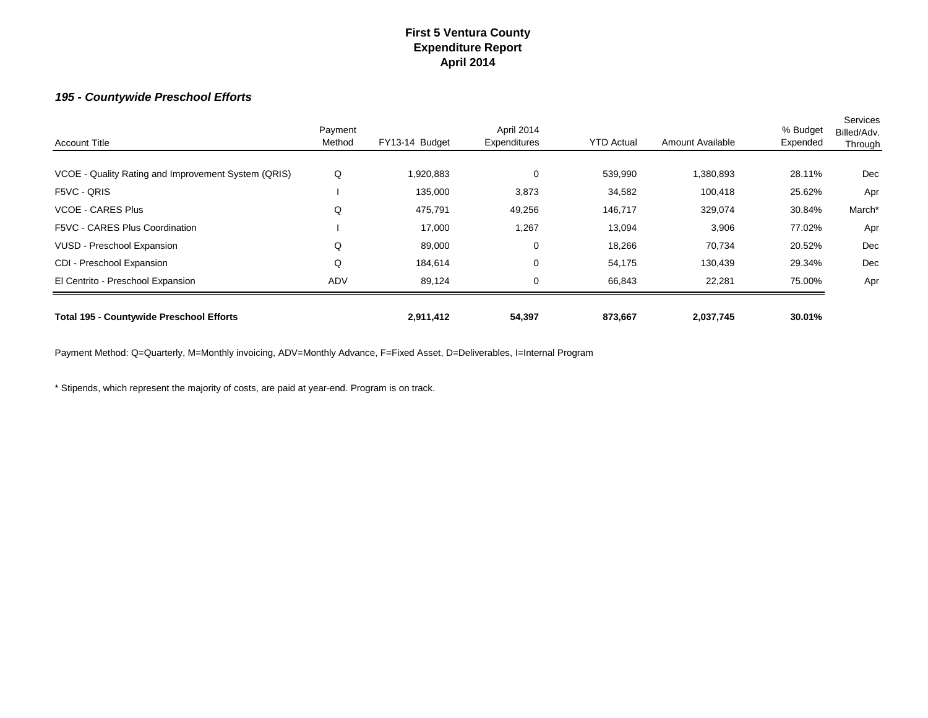#### *195 - Countywide Preschool Efforts*

| <b>Account Title</b>                                | Payment<br>Method | FY13-14 Budget | April 2014<br>Expenditures | <b>YTD Actual</b> | Amount Available | % Budget<br>Expended | Services<br>Billed/Adv.<br>Through |
|-----------------------------------------------------|-------------------|----------------|----------------------------|-------------------|------------------|----------------------|------------------------------------|
| VCOE - Quality Rating and Improvement System (QRIS) | Q                 | 1,920,883      | 0                          | 539,990           | ,380,893         | 28.11%               | Dec                                |
| F5VC - QRIS                                         |                   | 135,000        | 3,873                      | 34,582            | 100,418          | 25.62%               | Apr                                |
| <b>VCOE - CARES Plus</b>                            | Q                 | 475,791        | 49,256                     | 146,717           | 329,074          | 30.84%               | March*                             |
| F5VC - CARES Plus Coordination                      |                   | 17,000         | 1,267                      | 13,094            | 3,906            | 77.02%               | Apr                                |
| VUSD - Preschool Expansion                          | Q                 | 89,000         | 0                          | 18,266            | 70,734           | 20.52%               | Dec                                |
| CDI - Preschool Expansion                           | Q                 | 184,614        | 0                          | 54,175            | 130,439          | 29.34%               | Dec                                |
| El Centrito - Preschool Expansion                   | <b>ADV</b>        | 89,124         | 0                          | 66,843            | 22,281           | 75.00%               | Apr                                |
| <b>Total 195 - Countywide Preschool Efforts</b>     |                   | 2,911,412      | 54,397                     | 873,667           | 2,037,745        | 30.01%               |                                    |

Payment Method: Q=Quarterly, M=Monthly invoicing, ADV=Monthly Advance, F=Fixed Asset, D=Deliverables, I=Internal Program

\* Stipends, which represent the majority of costs, are paid at year-end. Program is on track.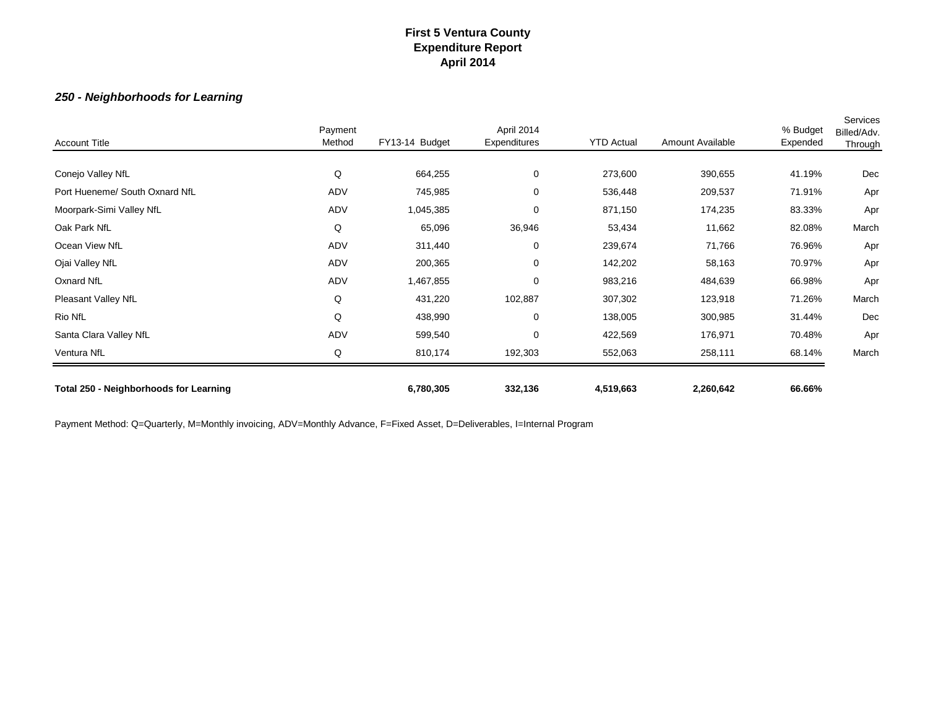## *250 - Neighborhoods for Learning*

| <b>Account Title</b>                   | Payment<br>Method | FY13-14 Budget | April 2014<br>Expenditures | <b>YTD Actual</b> | Amount Available | % Budget<br>Expended | Services<br>Billed/Adv.<br>Through |
|----------------------------------------|-------------------|----------------|----------------------------|-------------------|------------------|----------------------|------------------------------------|
|                                        |                   |                |                            |                   |                  |                      |                                    |
| Conejo Valley NfL                      | Q                 | 664,255        | $\mathbf 0$                | 273,600           | 390,655          | 41.19%               | Dec                                |
| Port Hueneme/ South Oxnard NfL         | ADV               | 745,985        | 0                          | 536,448           | 209,537          | 71.91%               | Apr                                |
| Moorpark-Simi Valley NfL               | ADV               | 1,045,385      | $\mathbf 0$                | 871,150           | 174,235          | 83.33%               | Apr                                |
| Oak Park NfL                           | Q                 | 65,096         | 36,946                     | 53,434            | 11,662           | 82.08%               | March                              |
| Ocean View NfL                         | ADV               | 311,440        | 0                          | 239,674           | 71,766           | 76.96%               | Apr                                |
| Ojai Valley NfL                        | ADV               | 200,365        | 0                          | 142,202           | 58,163           | 70.97%               | Apr                                |
| Oxnard NfL                             | ADV               | 1,467,855      | 0                          | 983,216           | 484,639          | 66.98%               | Apr                                |
| Pleasant Valley NfL                    | Q                 | 431,220        | 102,887                    | 307,302           | 123,918          | 71.26%               | March                              |
| Rio NfL                                | Q                 | 438,990        | $\mathbf 0$                | 138,005           | 300,985          | 31.44%               | Dec                                |
| Santa Clara Valley NfL                 | ADV               | 599,540        | 0                          | 422,569           | 176,971          | 70.48%               | Apr                                |
| Ventura NfL                            | Q                 | 810,174        | 192,303                    | 552,063           | 258,111          | 68.14%               | March                              |
| Total 250 - Neighborhoods for Learning |                   | 6,780,305      | 332,136                    | 4,519,663         | 2,260,642        | 66.66%               |                                    |

Payment Method: Q=Quarterly, M=Monthly invoicing, ADV=Monthly Advance, F=Fixed Asset, D=Deliverables, I=Internal Program